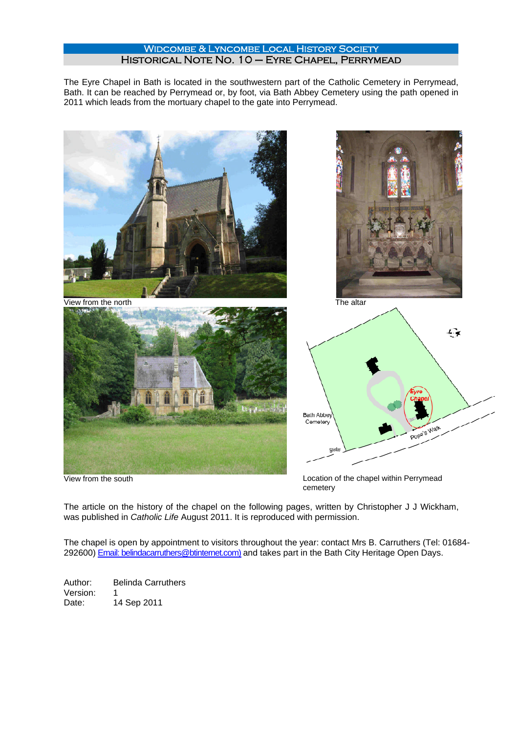## WIDCOMBE & LYNCOMBE LOCAL HISTORY SOCIETY Historical Note No. 10 – Eyre Chapel, Perrymead

The Eyre Chapel in Bath is located in the southwestern part of the Catholic Cemetery in Perrymead, Bath. It can be reached by Perrymead or, by foot, via Bath Abbey Cemetery using the path opened in 2011 which leads from the mortuary chapel to the gate into Perrymead.



View from the south Location of the chapel within Perrymead cemetery

The article on the history of the chapel on the following pages, written by Christopher J J Wickham, was published in *Catholic Life* August 2011. It is reproduced with permission.

The chapel is open by appointment to visitors throughout the year: contact Mrs B. Carruthers (Tel: 01684- 292600) Email: belindacarruthers@btinternet.com) and takes part in the Bath City Heritage Open Days.

Author: Belinda Carruthers Version: 1 Date: 14 Sep 2011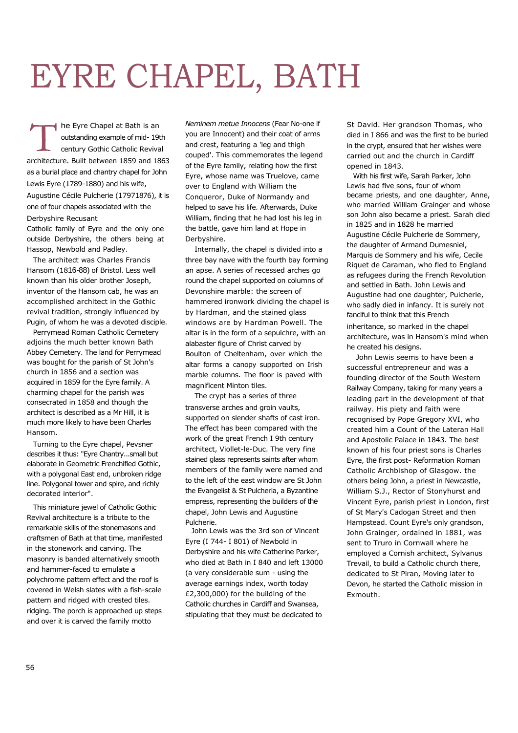## EYRE CHAPEL, BATH

he Eyre Chapel at Bath is an outstanding example of mid- 19th century Gothic Catholic Revival architecture. Built between 1859 and 1863 as a burial place and chantry chapel for John Lewis Eyre (1789-1880) and his wife, Augustine Cécile Pulcherie (17971876), it is one of four chapels associated with the Derbyshire Recusant

Catholic family of Eyre and the only one outside Derbyshire, the others being at Hassop, Newbold and Padley.

The architect was Charles Francis Hansom (1816-88) of Bristol. Less well known than his older brother Joseph, inventor of the Hansom cab, he was an accomplished architect in the Gothic revival tradition, strongly influenced by Pugin, of whom he was a devoted disciple.

Perrymead Roman Catholic Cemetery adioins the much better known Bath Abbey Cemetery. The land for Perrymead was bought for the parish of St John's church in 1856 and a section was acquired in 1859 for the Eyre family. A charming chapel for the parish was consecrated in 1858 and though the architect is described as a Mr Hill, it is much more likely to have been Charles Hansom.

Turning to the Eyre chapel, Pevsner describes it thus: "Eyre Chantry...small but elaborate in Geometric Frenchified Gothic, with a polygonal East end, unbroken ridge line. Polygonal tower and spire, and richly decorated interior".

This miniature jewel of Catholic Gothic Revival architecture is a tribute to the remarkable skills of the stonemasons and craftsmen of Bath at that time, manifested in the stonework and carving. The masonry is banded alternatively smooth and hammer-faced to emulate a polychrome pattern effect and the roof is covered in Welsh slates with a fish-scale pattern and ridged with crested tiles. ridging. The porch is approached up steps and over it is carved the family motto

*Neminem metue Innocens* (Fear No-one if you are Innocent) and their coat of arms and crest, featuring a 'leg and thigh couped'. This commemorates the legend of the Eyre family, relating how the first Eyre, whose name was Truelove, came over to England with William the Conqueror, Duke of Normandy and helped to save his life. Afterwards, Duke William, finding that he had lost his leg in the battle, gave him land at Hope in Derbyshire.

Internally, the chapel is divided into a three bay nave with the fourth bay forming an apse. A series of recessed arches go round the chapel supported on columns of Devonshire marble: the screen of hammered ironwork dividing the chapel is by Hardman, and the stained glass windows are by Hardman Powell. The altar is in the form of a sepulchre, with an alabaster figure of Christ carved by Boulton of Cheltenham, over which the altar forms a canopy supported on Irish marble columns. The floor is paved with magnificent Minton tiles.

The crypt has a series of three transverse arches and groin vaults, supported on slender shafts of cast iron. The effect has been compared with the work of the great French I 9th century architect, Viollet-le-Duc. The very fine stained glass represents saints after whom members of the family were named and to the left of the east window are St John the Evangelist & St Pulcheria, a Byzantine empress, representing the builders of the chapel, John Lewis and Augustine Pulcherie.

John Lewis was the 3rd son of Vincent Eyre (I 744- I 801) of Newbold in Derbyshire and his wife Catherine Parker, who died at Bath in I 840 and left 13000 (a very considerable sum - using the average earnings index, worth today £2,300,000) for the building of the Catholic churches in Cardiff and Swansea, stipulating that they must be dedicated to

St David. Her grandson Thomas, who died in I 866 and was the first to be buried in the crypt, ensured that her wishes were carried out and the church in Cardiff opened in 1843.

With his first wife, Sarah Parker, John Lewis had five sons, four of whom became priests, and one daughter, Anne, who married William Grainger and whose son John also became a priest. Sarah died in 1825 and in 1828 he married Augustine Cécile Pulcherie de Sommery, the daughter of Armand Dumesniel, Marquis de Sommery and his wife, Cecile Riquet de Caraman, who fled to England as refugees during the French Revolution and settled in Bath. John Lewis and Augustine had one daughter, Pulcherie, who sadly died in infancy. It is surely not fanciful to think that this French inheritance, so marked in the chapel architecture, was in Hansom's mind when he created his designs.

John Lewis seems to have been a successful entrepreneur and was a founding director of the South Western Railway Company, taking for many years a leading part in the development of that railway. His piety and faith were recognised by Pope Gregory XVI, who created him a Count of the Lateran Hall and Apostolic Palace in 1843. The best known of his four priest sons is Charles Eyre, the first post- Reformation Roman Catholic Archbishop of Glasgow. the others being John, a priest in Newcastle, William S.J., Rector of Stonyhurst and Vincent Eyre, parish priest in London, first of St Mary's Cadogan Street and then Hampstead. Count Eyre's only grandson, John Grainger, ordained in 1881, was sent to Truro in Cornwall where he employed a Cornish architect, Sylvanus Trevail, to build a Catholic church there, dedicated to St Piran, Moving later to Devon, he started the Catholic mission in Exmouth.